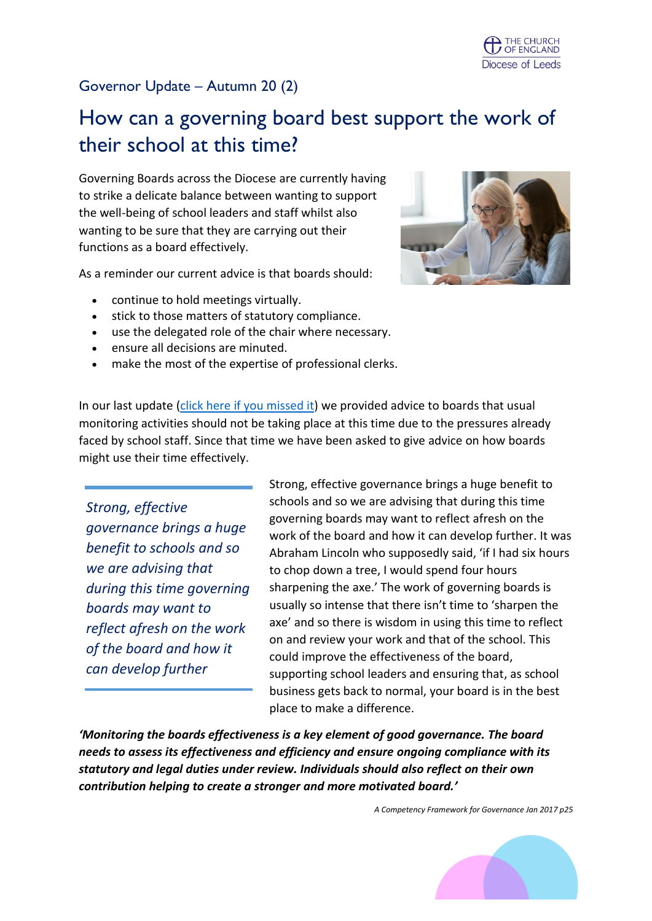# Governor Update – Autumn 20 (2)

# How can a governing board best support the work of their school at this time?

Governing Boards across the Diocese are currently having to strike a delicate balance between wanting to support the well-being of school leaders and staff whilst also wanting to be sure that they are carrying out their functions as a board effectively.

As a reminder our current advice is that boards should:

- continue to hold meetings virtually.
- stick to those matters of statutory compliance.
- use the delegated role of the chair where necessary.
- ensure all decisions are minuted.
- make the most of the expertise of professional clerks.



In our last update [\(click here if you missed it\)](https://conta.cc/3jm8ZsM) we provided advice to boards that usual monitoring activities should not be taking place at this time due to the pressures already faced by school staff. Since that time we have been asked to give advice on how boards might use their time effectively.

*Strong, effective governance brings a huge benefit to schools and so we are advising that during this time governing boards may want to reflect afresh on the work of the board and how it can develop further*

Strong, effective governance brings a huge benefit to schools and so we are advising that during this time governing boards may want to reflect afresh on the work of the board and how it can develop further. It was Abraham Lincoln who supposedly said, 'if I had six hours to chop down a tree, I would spend four hours sharpening the axe.' The work of governing boards is usually so intense that there isn't time to 'sharpen the axe' and so there is wisdom in using this time to reflect on and review your work and that of the school. This could improve the effectiveness of the board, supporting school leaders and ensuring that, as school business gets back to normal, your board is in the best place to make a difference.

*'Monitoring the boards effectiveness is a key element of good governance. The board needs to assess its effectiveness and efficiency and ensure ongoing compliance with its statutory and legal duties under review. Individuals should also reflect on their own contribution helping to create a stronger and more motivated board.'*

*A Competency Framework for Governance Jan 2017 p25*

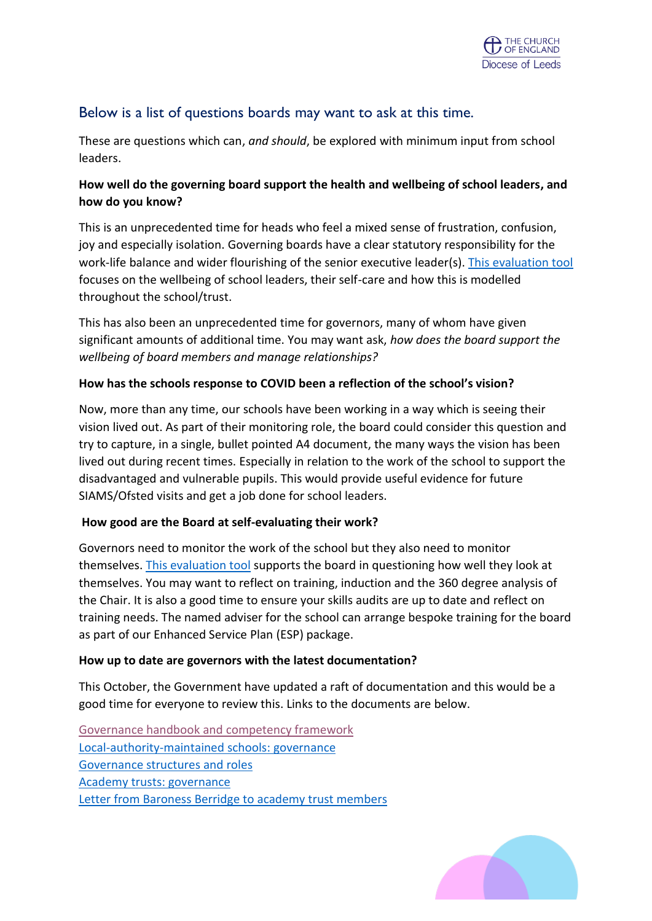# Below is a list of questions boards may want to ask at this time.

These are questions which can, *and should*, be explored with minimum input from school leaders.

## **How well do the governing board support the health and wellbeing of school leaders, and how do you know?**

This is an unprecedented time for heads who feel a mixed sense of frustration, confusion, joy and especially isolation. Governing boards have a clear statutory responsibility for the work-life balance and wider flourishing of the senior executive leader(s). [This evaluation tool](https://www.nga.org.uk/getmedia/f41d9900-4e8c-43e6-9522-63596567ed4c/NGA_SAS_Wellbeing-evaluation-tool_Oct-2020.pdf) focuses on the wellbeing of school leaders, their self-care and how this is modelled throughout the school/trust.

This has also been an unprecedented time for governors, many of whom have given significant amounts of additional time. You may want ask, *how does the board support the wellbeing of board members and manage relationships?*

## **How has the schools response to COVID been a reflection of the school's vision?**

Now, more than any time, our schools have been working in a way which is seeing their vision lived out. As part of their monitoring role, the board could consider this question and try to capture, in a single, bullet pointed A4 document, the many ways the vision has been lived out during recent times. Especially in relation to the work of the school to support the disadvantaged and vulnerable pupils. This would provide useful evidence for future SIAMS/Ofsted visits and get a job done for school leaders.

#### **How good are the Board at self-evaluating their work?**

Governors need to monitor the work of the school but they also need to monitor themselves. [This evaluation tool](https://www.leeds.anglican.org/sites/default/files/files/Governance-%20evaluating%20the%20evaluating.pdf) supports the board in questioning how well they look at themselves. You may want to reflect on training, induction and the 360 degree analysis of the Chair. It is also a good time to ensure your skills audits are up to date and reflect on training needs. The named adviser for the school can arrange bespoke training for the board as part of our Enhanced Service Plan (ESP) package.

## **How up to date are governors with the latest documentation?**

This October, the Government have updated a raft of documentation and this would be a good time for everyone to review this. Links to the documents are below.

[Governance handbook and competency framework](https://www.gov.uk/government/publications/governance-handbook?utm_source=8482b3cd-b7c4-4f2c-818c-8aebbd1314b1&utm_medium=email&utm_campaign=govuk-notifications&utm_content=immediate) [Local-authority-maintained schools: governance](https://www.gov.uk/government/collections/local-authority-maintained-schools-governance?utm_source=9574bed9-0db5-4374-969c-62a0cc31ad3f&utm_medium=email&utm_campaign=govuk-notifications&utm_content=immediate) [Governance structures and roles](https://www.gov.uk/government/publications/governance-structures-and-roles?utm_source=e380390a-5083-4c31-bb65-eede0863efe2&utm_medium=email&utm_campaign=govuk-notifications&utm_content=immediate) [Academy trusts: governance](https://www.gov.uk/government/collections/academy-trusts-governance?utm_source=6cde0657-89b9-4f83-89a2-f566df8b1c7e&utm_medium=email&utm_campaign=govuk-notifications&utm_content=immediate) [Letter from Baroness Berridge to academy trust members](https://www.gov.uk/government/publications/letter-from-baroness-berridge-to-academy-trust-members?utm_source=e60c3ce5-cc2a-40bb-8623-fc46f7d82e21&utm_medium=email&utm_campaign=govuk-notifications&utm_content=immediate)